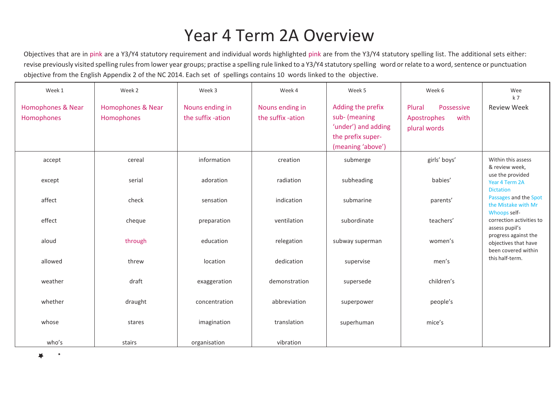## Year 4 Term 2A Overview

Objectives that are in pink are a Y3/Y4 statutory requirement and individual words highlighted pink are from the Y3/Y4 statutory spelling list. The additional sets either: revise previously visited spelling rules from lower year groups; practise a spelling rule linked to a Y3/Y4 statutory spelling word or relate to a word, sentence or punctuation objective from the English Appendix 2 of the NC 2014. Each set of spellings contains 10 words linked to the objective.

| Week 1                                     | Week 2                                     | Week 3                               | Week 4                               | Week 5                                                                                              | Week 6                                                      | Wee<br>k <sub>7</sub>                                               |
|--------------------------------------------|--------------------------------------------|--------------------------------------|--------------------------------------|-----------------------------------------------------------------------------------------------------|-------------------------------------------------------------|---------------------------------------------------------------------|
| <b>Homophones &amp; Near</b><br>Homophones | <b>Homophones &amp; Near</b><br>Homophones | Nouns ending in<br>the suffix -ation | Nouns ending in<br>the suffix -ation | Adding the prefix<br>sub- (meaning<br>'under') and adding<br>the prefix super-<br>(meaning 'above') | Possessive<br>Plural<br>Apostrophes<br>with<br>plural words | <b>Review Week</b>                                                  |
| accept                                     | cereal                                     | information                          | creation                             | submerge                                                                                            | girls' boys'                                                | Within this assess<br>& review week,                                |
| except                                     | serial                                     | adoration                            | radiation                            | subheading                                                                                          | babies'                                                     | use the provided<br>Year 4 Term 2A<br><b>Dictation</b>              |
| affect                                     | check                                      | sensation                            | indication                           | submarine                                                                                           | parents'                                                    | Passages and the Spot<br>the Mistake with Mr                        |
| effect                                     | cheque                                     | preparation                          | ventilation                          | subordinate                                                                                         | teachers'                                                   | Whoops self-<br>correction activities to<br>assess pupil's          |
| aloud                                      | through                                    | education                            | relegation                           | subway superman                                                                                     | women's                                                     | progress against the<br>objectives that have<br>been covered within |
| allowed                                    | threw                                      | location                             | dedication                           | supervise                                                                                           | men's                                                       | this half-term.                                                     |
| weather                                    | draft                                      | exaggeration                         | demonstration                        | supersede                                                                                           | children's                                                  |                                                                     |
| whether                                    | draught                                    | concentration                        | abbreviation                         | superpower                                                                                          | people's                                                    |                                                                     |
| whose                                      | stares                                     | imagination                          | translation                          | superhuman                                                                                          | mice's                                                      |                                                                     |
| who's                                      | stairs                                     | organisation                         | vibration                            |                                                                                                     |                                                             |                                                                     |